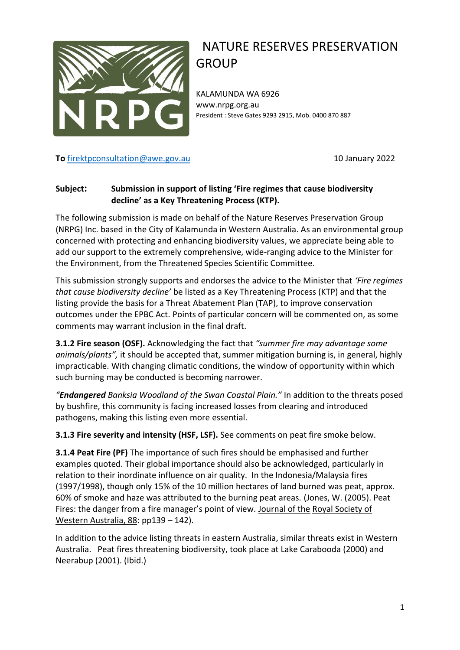

## NATURE RESERVES PRESERVATION GROUP

KALAMUNDA WA 6926 www.nrpg.org.au President : Steve Gates 9293 2915, Mob. 0400 870 887

## **To** [firektpconsultation@awe.gov.au](mailto:firektpconsultation@awe.gov.au) 10 January 2022

## **Subject: Submission in support of listing 'Fire regimes that cause biodiversity decline' as a Key Threatening Process (KTP).**

The following submission is made on behalf of the Nature Reserves Preservation Group (NRPG) Inc. based in the City of Kalamunda in Western Australia. As an environmental group concerned with protecting and enhancing biodiversity values, we appreciate being able to add our support to the extremely comprehensive, wide-ranging advice to the Minister for the Environment, from the Threatened Species Scientific Committee.

This submission strongly supports and endorses the advice to the Minister that *'Fire regimes that cause biodiversity decline'* be listed as a Key Threatening Process (KTP) and that the listing provide the basis for a Threat Abatement Plan (TAP), to improve conservation outcomes under the EPBC Act. Points of particular concern will be commented on, as some comments may warrant inclusion in the final draft.

**3.1.2 Fire season (OSF).** Acknowledging the fact that *"summer fire may advantage some animals/plants",* it should be accepted that, summer mitigation burning is, in general, highly impracticable. With changing climatic conditions, the window of opportunity within which such burning may be conducted is becoming narrower.

*"Endangered Banksia Woodland of the Swan Coastal Plain."* In addition to the threats posed by bushfire, this community is facing increased losses from clearing and introduced pathogens, making this listing even more essential.

**3.1.3 Fire severity and intensity (HSF, LSF).** See comments on peat fire smoke below.

**3.1.4 Peat Fire (PF)** The importance of such fires should be emphasised and further examples quoted. Their global importance should also be acknowledged, particularly in relation to their inordinate influence on air quality. In the Indonesia/Malaysia fires (1997/1998), though only 15% of the 10 million hectares of land burned was peat, approx. 60% of smoke and haze was attributed to the burning peat areas. (Jones, W. (2005). Peat Fires: the danger from a fire manager's point of view. Journal of the Royal Society of Western Australia, 88: pp139 – 142).

In addition to the advice listing threats in eastern Australia, similar threats exist in Western Australia. Peat fires threatening biodiversity, took place at Lake Carabooda (2000) and Neerabup (2001). (Ibid.)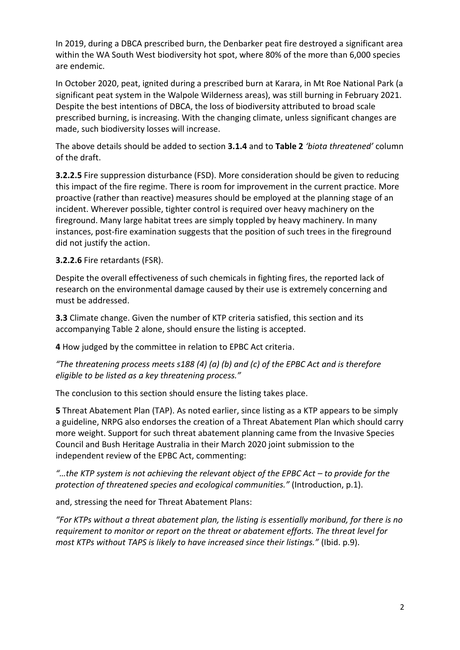In 2019, during a DBCA prescribed burn, the Denbarker peat fire destroyed a significant area within the WA South West biodiversity hot spot, where 80% of the more than 6,000 species are endemic.

In October 2020, peat, ignited during a prescribed burn at Karara, in Mt Roe National Park (a significant peat system in the Walpole Wilderness areas), was still burning in February 2021. Despite the best intentions of DBCA, the loss of biodiversity attributed to broad scale prescribed burning, is increasing. With the changing climate, unless significant changes are made, such biodiversity losses will increase.

The above details should be added to section **3.1.4** and to **Table 2** *'biota threatened'* column of the draft.

**3.2.2.5** Fire suppression disturbance (FSD). More consideration should be given to reducing this impact of the fire regime. There is room for improvement in the current practice. More proactive (rather than reactive) measures should be employed at the planning stage of an incident. Wherever possible, tighter control is required over heavy machinery on the fireground. Many large habitat trees are simply toppled by heavy machinery. In many instances, post-fire examination suggests that the position of such trees in the fireground did not justify the action.

**3.2.2.6** Fire retardants (FSR).

Despite the overall effectiveness of such chemicals in fighting fires, the reported lack of research on the environmental damage caused by their use is extremely concerning and must be addressed.

**3.3** Climate change. Given the number of KTP criteria satisfied, this section and its accompanying Table 2 alone, should ensure the listing is accepted.

**4** How judged by the committee in relation to EPBC Act criteria.

*"The threatening process meets s188 (4) (a) (b) and (c) of the EPBC Act and is therefore eligible to be listed as a key threatening process."* 

The conclusion to this section should ensure the listing takes place.

**5** Threat Abatement Plan (TAP). As noted earlier, since listing as a KTP appears to be simply a guideline, NRPG also endorses the creation of a Threat Abatement Plan which should carry more weight. Support for such threat abatement planning came from the Invasive Species Council and Bush Heritage Australia in their March 2020 joint submission to the independent review of the EPBC Act, commenting:

*"…the KTP system is not achieving the relevant object of the EPBC Act – to provide for the protection of threatened species and ecological communities."* (Introduction, p.1).

and, stressing the need for Threat Abatement Plans:

*"For KTPs without a threat abatement plan, the listing is essentially moribund, for there is no requirement to monitor or report on the threat or abatement efforts. The threat level for most KTPs without TAPS is likely to have increased since their listings."* (Ibid. p.9).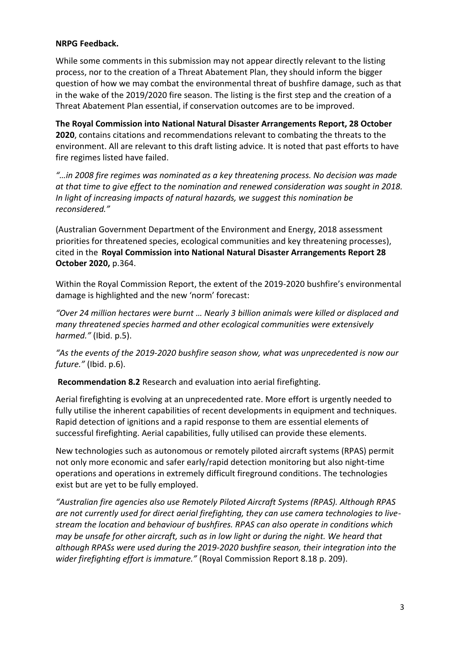## **NRPG Feedback.**

While some comments in this submission may not appear directly relevant to the listing process, nor to the creation of a Threat Abatement Plan, they should inform the bigger question of how we may combat the environmental threat of bushfire damage, such as that in the wake of the 2019/2020 fire season. The listing is the first step and the creation of a Threat Abatement Plan essential, if conservation outcomes are to be improved.

**The Royal Commission into National Natural Disaster Arrangements Report, 28 October 2020**, contains citations and recommendations relevant to combating the threats to the environment. All are relevant to this draft listing advice. It is noted that past efforts to have fire regimes listed have failed.

*"…in 2008 fire regimes was nominated as a key threatening process. No decision was made at that time to give effect to the nomination and renewed consideration was sought in 2018. In light of increasing impacts of natural hazards, we suggest this nomination be reconsidered."*

(Australian Government Department of the Environment and Energy, 2018 assessment priorities for threatened species, ecological communities and key threatening processes), cited in the **Royal Commission into National Natural Disaster Arrangements Report 28 October 2020,** p.364.

Within the Royal Commission Report, the extent of the 2019-2020 bushfire's environmental damage is highlighted and the new 'norm' forecast:

*"Over 24 million hectares were burnt … Nearly 3 billion animals were killed or displaced and many threatened species harmed and other ecological communities were extensively harmed."* (Ibid. p.5).

*"As the events of the 2019-2020 bushfire season show, what was unprecedented is now our future."* (Ibid. p.6).

**Recommendation 8.2** Research and evaluation into aerial firefighting.

Aerial firefighting is evolving at an unprecedented rate. More effort is urgently needed to fully utilise the inherent capabilities of recent developments in equipment and techniques. Rapid detection of ignitions and a rapid response to them are essential elements of successful firefighting. Aerial capabilities, fully utilised can provide these elements.

New technologies such as autonomous or remotely piloted aircraft systems (RPAS) permit not only more economic and safer early/rapid detection monitoring but also night-time operations and operations in extremely difficult fireground conditions. The technologies exist but are yet to be fully employed.

*"Australian fire agencies also use Remotely Piloted Aircraft Systems (RPAS). Although RPAS are not currently used for direct aerial firefighting, they can use camera technologies to livestream the location and behaviour of bushfires. RPAS can also operate in conditions which may be unsafe for other aircraft, such as in low light or during the night. We heard that although RPASs were used during the 2019-2020 bushfire season, their integration into the wider firefighting effort is immature."* (Royal Commission Report 8.18 p. 209).